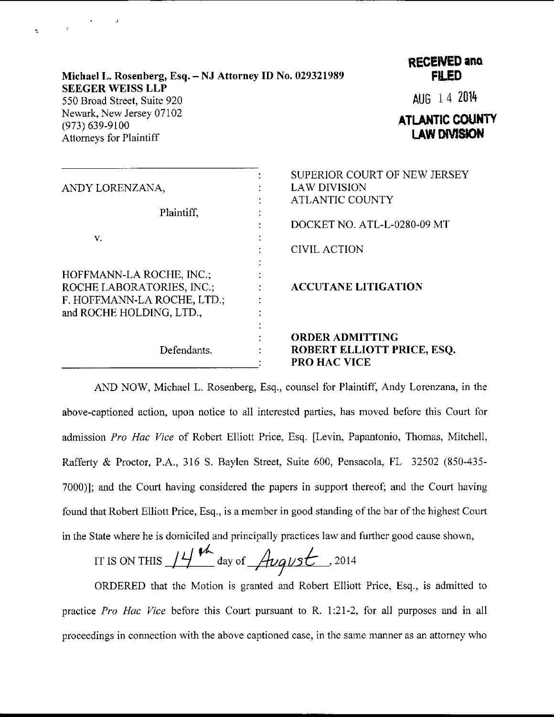| Michael L. Rosenberg, Esq. – NJ Attorney ID No. 029321989 |
|-----------------------------------------------------------|
| <b>SEEGER WEISS LLP</b>                                   |
| 550 Broad Street, Suite 920                               |
| Newark, New Jersey 07102                                  |
| $(973) 639 - 9100$                                        |
| <b>Attorneys for Plaintiff</b>                            |

 $\label{eq:2.1} \frac{1}{2} \left( \frac{1}{2} \right)^{2} \left( \frac{1}{2} \right)^{2} \left( \frac{1}{2} \right)^{2}$ 

 $\epsilon$ 

RECENED and **FILED** 

AUG 14 <sup>2014</sup>

**ATLANTIC COUNTY** I AW DIVISION

| ANDY LORENZANA,<br>Plaintiff,                                                                                    | SUPERIOR COURT OF NEW JERSEY                                                |
|------------------------------------------------------------------------------------------------------------------|-----------------------------------------------------------------------------|
|                                                                                                                  | <b>LAW DIVISION</b>                                                         |
|                                                                                                                  | <b>ATLANTIC COUNTY</b>                                                      |
|                                                                                                                  |                                                                             |
|                                                                                                                  | DOCKET NO. ATL-L-0280-09 MT                                                 |
| V.                                                                                                               |                                                                             |
|                                                                                                                  | <b>CIVIL ACTION</b>                                                         |
| HOFFMANN-LA ROCHE, INC.;<br>ROCHE LABORATORIES, INC.;<br>F. HOFFMANN-LA ROCHE, LTD.;<br>and ROCHE HOLDING, LTD., | <b>ACCUTANE LITIGATION</b>                                                  |
| Defendants.                                                                                                      | <b>ORDER ADMITTING</b><br>ROBERT ELLIOTT PRICE, ESQ.<br><b>PRO HAC VICE</b> |

AND NOW, Michael L. Rosenberg, Esq., counsel for Plaintiff, Andy Lorenzana, in the above-captioned action, upon notice to all interested parties, has moved before this Court for admission Pro Hac Vice of Robert Elliott Price, Esq. [Levin, Papantonio, Thomas, Mitchell, Rafferty & Proctor, P.A., 316 S. Baylen Street, Suite 600, Pensacola, FL 32502 (850-435- 7000)]; and the Court having considered the papers in support thereof; and the Court having found that Robert Elliott Price, Esq., is a member in good standing of the bar of the highest Court in the State where he is domiciled and principally practices law and further good cause shown,

IT IS ON THIS  $14$  th day of *August* . 2014

ORDERED that the Motion is granted and Robert Elliott Price, Esq., is admitted to practice Pro Hac Vice before this Court pursuant to R. 1:21-2, for all purposes and in all proceedings in connection with the above captioned case, in the sarne manner as an attorney who